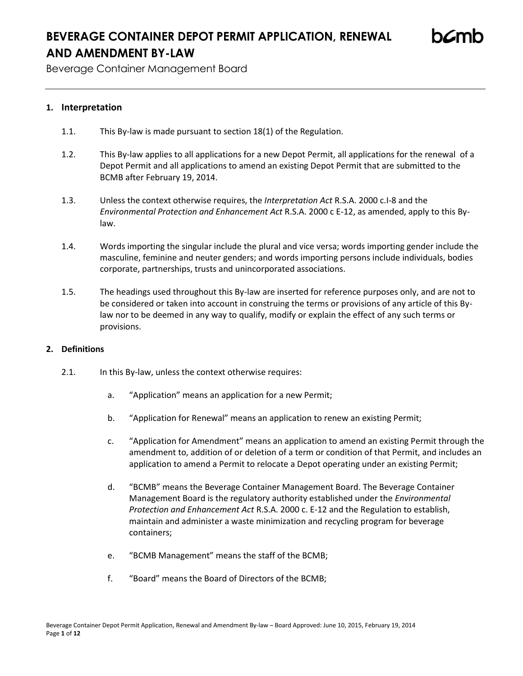Beverage Container Management Board

## **1. Interpretation**

- 1.1. This By-law is made pursuant to section 18(1) of the Regulation.
- 1.2. This By-law applies to all applications for a new Depot Permit, all applications for the renewal of a Depot Permit and all applications to amend an existing Depot Permit that are submitted to the BCMB after February 19, 2014.
- 1.3. Unless the context otherwise requires, the *Interpretation Act* R.S.A. 2000 c.I-8 and the *Environmental Protection and Enhancement Act* R.S.A. 2000 c E-12, as amended, apply to this Bylaw.
- 1.4. Words importing the singular include the plural and vice versa; words importing gender include the masculine, feminine and neuter genders; and words importing persons include individuals, bodies corporate, partnerships, trusts and unincorporated associations.
- 1.5. The headings used throughout this By-law are inserted for reference purposes only, and are not to be considered or taken into account in construing the terms or provisions of any article of this Bylaw nor to be deemed in any way to qualify, modify or explain the effect of any such terms or provisions.

### **2. Definitions**

- 2.1. In this By-law, unless the context otherwise requires:
	- a. "Application" means an application for a new Permit;
	- b. "Application for Renewal" means an application to renew an existing Permit;
	- c. "Application for Amendment" means an application to amend an existing Permit through the amendment to, addition of or deletion of a term or condition of that Permit, and includes an application to amend a Permit to relocate a Depot operating under an existing Permit;
	- d. "BCMB" means the Beverage Container Management Board. The Beverage Container Management Board is the regulatory authority established under the *Environmental Protection and Enhancement Act* R.S.A. 2000 c. E-12 and the Regulation to establish, maintain and administer a waste minimization and recycling program for beverage containers;
	- e. "BCMB Management" means the staff of the BCMB;
	- f. "Board" means the Board of Directors of the BCMB;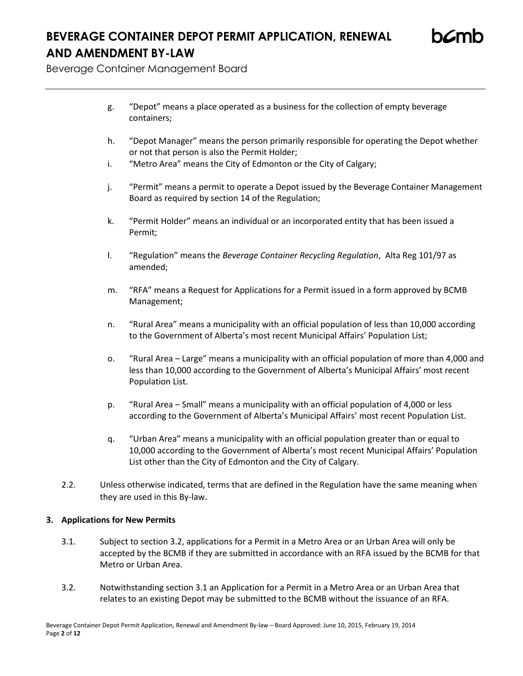Beverage Container Management Board

- g. "Depot" means a place operated as a business for the collection of empty beverage containers;
- h. "Depot Manager" means the person primarily responsible for operating the Depot whether or not that person is also the Permit Holder;
- i. "Metro Area" means the City of Edmonton or the City of Calgary;
- j. "Permit" means a permit to operate a Depot issued by the Beverage Container Management Board as required by section 14 of the Regulation;
- k. "Permit Holder" means an individual or an incorporated entity that has been issued a Permit;
- l. "Regulation" means the *Beverage Container Recycling Regulation*, Alta Reg 101/97 as amended;
- m. "RFA" means a Request for Applications for a Permit issued in a form approved by BCMB Management;
- n. "Rural Area" means a municipality with an official population of less than 10,000 according to the Government of Alberta's most recent Municipal Affairs' Population List;
- o. "Rural Area Large" means a municipality with an official population of more than 4,000 and less than 10,000 according to the Government of Alberta's Municipal Affairs' most recent Population List.
- p. "Rural Area Small" means a municipality with an official population of 4,000 or less according to the Government of Alberta's Municipal Affairs' most recent Population List.
- q. "Urban Area" means a municipality with an official population greater than or equal to 10,000 according to the Government of Alberta's most recent Municipal Affairs' Population List other than the City of Edmonton and the City of Calgary.
- 2.2. Unless otherwise indicated, terms that are defined in the Regulation have the same meaning when they are used in this By-law.

## **3. Applications for New Permits**

- 3.1. Subject to section 3.2, applications for a Permit in a Metro Area or an Urban Area will only be accepted by the BCMB if they are submitted in accordance with an RFA issued by the BCMB for that Metro or Urban Area.
- 3.2. Notwithstanding section 3.1 an Application for a Permit in a Metro Area or an Urban Area that relates to an existing Depot may be submitted to the BCMB without the issuance of an RFA.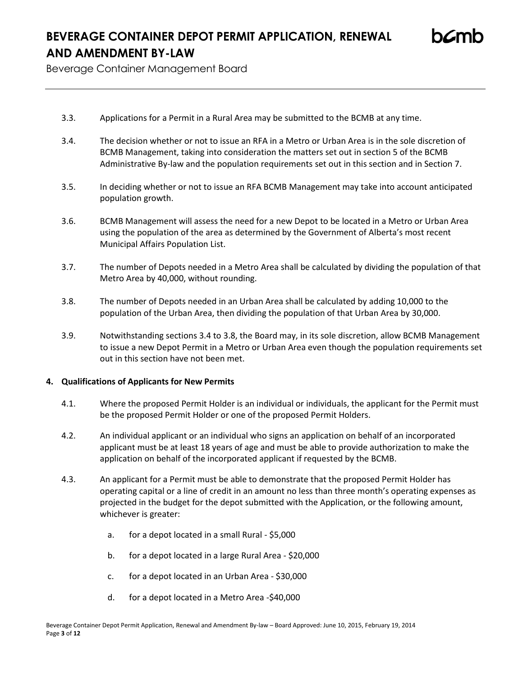Beverage Container Management Board

- 3.3. Applications for a Permit in a Rural Area may be submitted to the BCMB at any time.
- 3.4. The decision whether or not to issue an RFA in a Metro or Urban Area is in the sole discretion of BCMB Management, taking into consideration the matters set out in section 5 of the BCMB Administrative By-law and the population requirements set out in this section and in Section 7.
- 3.5. In deciding whether or not to issue an RFA BCMB Management may take into account anticipated population growth.
- 3.6. BCMB Management will assess the need for a new Depot to be located in a Metro or Urban Area using the population of the area as determined by the Government of Alberta's most recent Municipal Affairs Population List.
- 3.7. The number of Depots needed in a Metro Area shall be calculated by dividing the population of that Metro Area by 40,000, without rounding.
- 3.8. The number of Depots needed in an Urban Area shall be calculated by adding 10,000 to the population of the Urban Area, then dividing the population of that Urban Area by 30,000.
- 3.9. Notwithstanding sections 3.4 to 3.8, the Board may, in its sole discretion, allow BCMB Management to issue a new Depot Permit in a Metro or Urban Area even though the population requirements set out in this section have not been met.

### **4. Qualifications of Applicants for New Permits**

- 4.1. Where the proposed Permit Holder is an individual or individuals, the applicant for the Permit must be the proposed Permit Holder or one of the proposed Permit Holders.
- 4.2. An individual applicant or an individual who signs an application on behalf of an incorporated applicant must be at least 18 years of age and must be able to provide authorization to make the application on behalf of the incorporated applicant if requested by the BCMB.
- 4.3. An applicant for a Permit must be able to demonstrate that the proposed Permit Holder has operating capital or a line of credit in an amount no less than three month's operating expenses as projected in the budget for the depot submitted with the Application, or the following amount, whichever is greater:
	- a. for a depot located in a small Rural \$5,000
	- b. for a depot located in a large Rural Area \$20,000
	- c. for a depot located in an Urban Area \$30,000
	- d. for a depot located in a Metro Area -\$40,000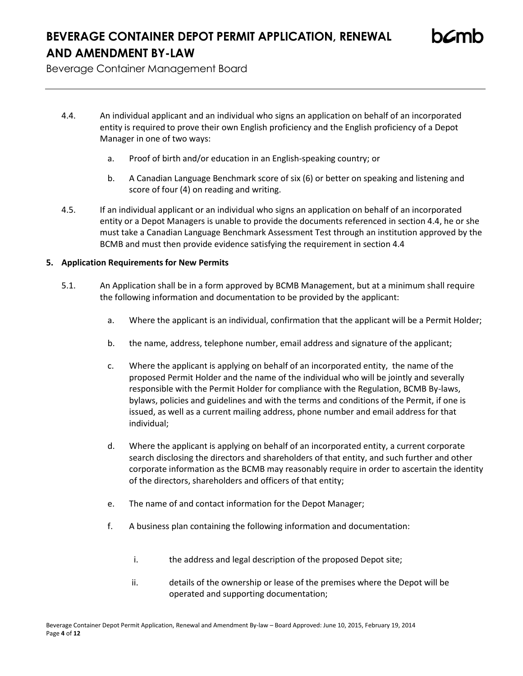Beverage Container Management Board

- 4.4. An individual applicant and an individual who signs an application on behalf of an incorporated entity is required to prove their own English proficiency and the English proficiency of a Depot Manager in one of two ways:
	- a. Proof of birth and/or education in an English-speaking country; or
	- b. A Canadian Language Benchmark score of six (6) or better on speaking and listening and score of four (4) on reading and writing.
- 4.5. If an individual applicant or an individual who signs an application on behalf of an incorporated entity or a Depot Managers is unable to provide the documents referenced in section 4.4, he or she must take a Canadian Language Benchmark Assessment Test through an institution approved by the BCMB and must then provide evidence satisfying the requirement in section 4.4

## **5. Application Requirements for New Permits**

- 5.1. An Application shall be in a form approved by BCMB Management, but at a minimum shall require the following information and documentation to be provided by the applicant:
	- a. Where the applicant is an individual, confirmation that the applicant will be a Permit Holder;
	- b. the name, address, telephone number, email address and signature of the applicant;
	- c. Where the applicant is applying on behalf of an incorporated entity, the name of the proposed Permit Holder and the name of the individual who will be jointly and severally responsible with the Permit Holder for compliance with the Regulation, BCMB By-laws, bylaws, policies and guidelines and with the terms and conditions of the Permit, if one is issued, as well as a current mailing address, phone number and email address for that individual;
	- d. Where the applicant is applying on behalf of an incorporated entity, a current corporate search disclosing the directors and shareholders of that entity, and such further and other corporate information as the BCMB may reasonably require in order to ascertain the identity of the directors, shareholders and officers of that entity;
	- e. The name of and contact information for the Depot Manager;
	- f. A business plan containing the following information and documentation:
		- i. the address and legal description of the proposed Depot site;
		- ii. details of the ownership or lease of the premises where the Depot will be operated and supporting documentation;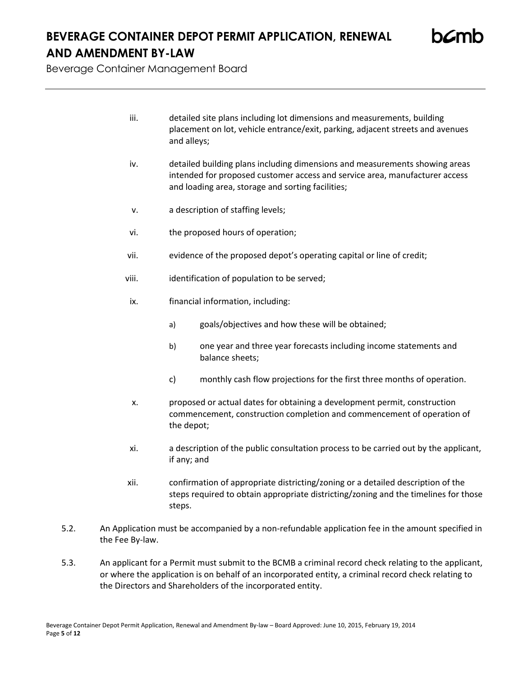Beverage Container Management Board

- iii. detailed site plans including lot dimensions and measurements, building placement on lot, vehicle entrance/exit, parking, adjacent streets and avenues and alleys;
- iv. detailed building plans including dimensions and measurements showing areas intended for proposed customer access and service area, manufacturer access and loading area, storage and sorting facilities;
- v. a description of staffing levels;
- vi. the proposed hours of operation;
- vii. evidence of the proposed depot's operating capital or line of credit;
- viii. identification of population to be served;
- ix. financial information, including:
	- a) goals/objectives and how these will be obtained;
	- b) one year and three year forecasts including income statements and balance sheets;
	- c) monthly cash flow projections for the first three months of operation.
- x. proposed or actual dates for obtaining a development permit, construction commencement, construction completion and commencement of operation of the depot;
- xi. a description of the public consultation process to be carried out by the applicant, if any; and
- xii. confirmation of appropriate districting/zoning or a detailed description of the steps required to obtain appropriate districting/zoning and the timelines for those steps.
- 5.2. An Application must be accompanied by a non-refundable application fee in the amount specified in the Fee By-law.
- 5.3. An applicant for a Permit must submit to the BCMB a criminal record check relating to the applicant, or where the application is on behalf of an incorporated entity, a criminal record check relating to the Directors and Shareholders of the incorporated entity.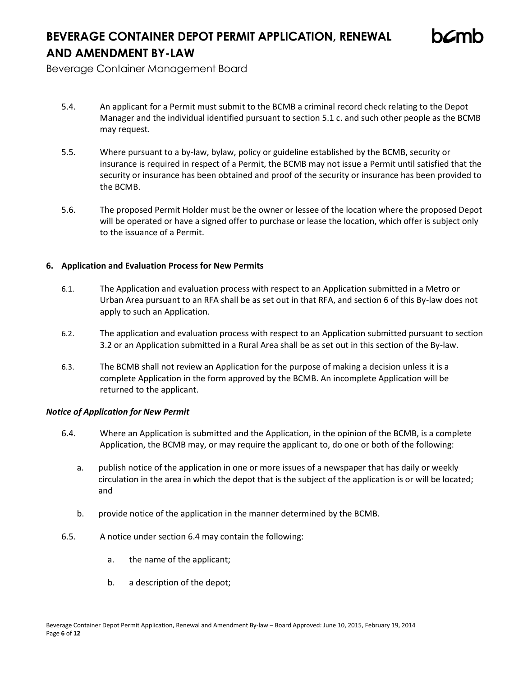Beverage Container Management Board

- 5.4. An applicant for a Permit must submit to the BCMB a criminal record check relating to the Depot Manager and the individual identified pursuant to section 5.1 c. and such other people as the BCMB may request.
- 5.5. Where pursuant to a by-law, bylaw, policy or guideline established by the BCMB, security or insurance is required in respect of a Permit, the BCMB may not issue a Permit until satisfied that the security or insurance has been obtained and proof of the security or insurance has been provided to the BCMB.
- 5.6. The proposed Permit Holder must be the owner or lessee of the location where the proposed Depot will be operated or have a signed offer to purchase or lease the location, which offer is subject only to the issuance of a Permit.

## **6. Application and Evaluation Process for New Permits**

- 6.1. The Application and evaluation process with respect to an Application submitted in a Metro or Urban Area pursuant to an RFA shall be as set out in that RFA, and section 6 of this By-law does not apply to such an Application.
- 6.2. The application and evaluation process with respect to an Application submitted pursuant to section 3.2 or an Application submitted in a Rural Area shall be as set out in this section of the By-law.
- 6.3. The BCMB shall not review an Application for the purpose of making a decision unless it is a complete Application in the form approved by the BCMB. An incomplete Application will be returned to the applicant.

## *Notice of Application for New Permit*

- 6.4. Where an Application is submitted and the Application, in the opinion of the BCMB, is a complete Application, the BCMB may, or may require the applicant to, do one or both of the following:
	- a. publish notice of the application in one or more issues of a newspaper that has daily or weekly circulation in the area in which the depot that is the subject of the application is or will be located; and
	- b. provide notice of the application in the manner determined by the BCMB.
- 6.5. A notice under section 6.4 may contain the following:
	- a. the name of the applicant;
	- b. a description of the depot;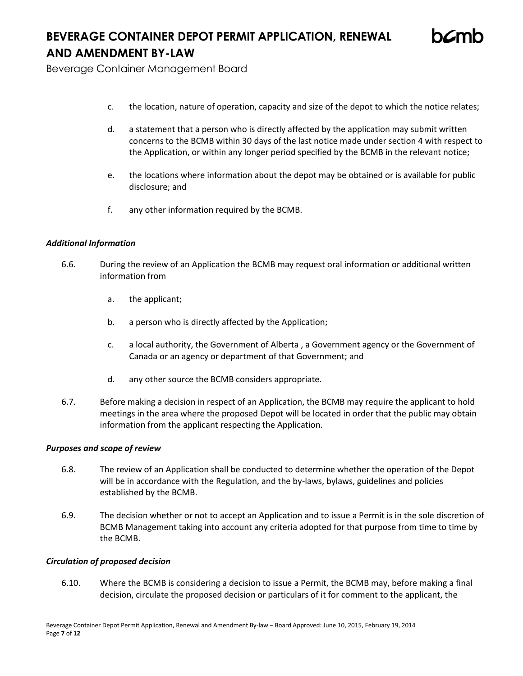Beverage Container Management Board

- c. the location, nature of operation, capacity and size of the depot to which the notice relates;
- d. a statement that a person who is directly affected by the application may submit written concerns to the BCMB within 30 days of the last notice made under section 4 with respect to the Application, or within any longer period specified by the BCMB in the relevant notice;
- e. the locations where information about the depot may be obtained or is available for public disclosure; and
- f. any other information required by the BCMB.

### *Additional Information*

- 6.6. During the review of an Application the BCMB may request oral information or additional written information from
	- a. the applicant;
	- b. a person who is directly affected by the Application;
	- c. a local authority, the Government of Alberta , a Government agency or the Government of Canada or an agency or department of that Government; and
	- d. any other source the BCMB considers appropriate.
- 6.7. Before making a decision in respect of an Application, the BCMB may require the applicant to hold meetings in the area where the proposed Depot will be located in order that the public may obtain information from the applicant respecting the Application.

### *Purposes and scope of review*

- 6.8. The review of an Application shall be conducted to determine whether the operation of the Depot will be in accordance with the Regulation, and the by-laws, bylaws, guidelines and policies established by the BCMB.
- 6.9. The decision whether or not to accept an Application and to issue a Permit is in the sole discretion of BCMB Management taking into account any criteria adopted for that purpose from time to time by the BCMB.

### *Circulation of proposed decision*

6.10. Where the BCMB is considering a decision to issue a Permit, the BCMB may, before making a final decision, circulate the proposed decision or particulars of it for comment to the applicant, the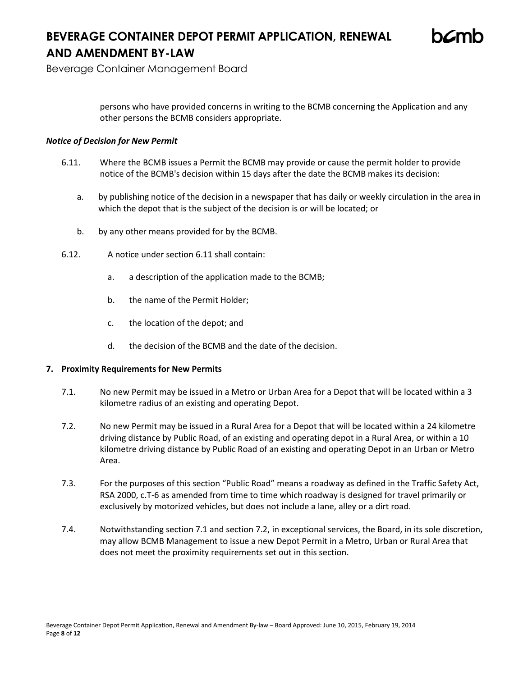Beverage Container Management Board

persons who have provided concerns in writing to the BCMB concerning the Application and any other persons the BCMB considers appropriate.

## *Notice of Decision for New Permit*

- 6.11. Where the BCMB issues a Permit the BCMB may provide or cause the permit holder to provide notice of the BCMB's decision within 15 days after the date the BCMB makes its decision:
	- a. by publishing notice of the decision in a newspaper that has daily or weekly circulation in the area in which the depot that is the subject of the decision is or will be located; or
	- b. by any other means provided for by the BCMB.
- 6.12. A notice under section 6.11 shall contain:
	- a. a description of the application made to the BCMB;
	- b. the name of the Permit Holder;
	- c. the location of the depot; and
	- d. the decision of the BCMB and the date of the decision.

## **7. Proximity Requirements for New Permits**

- 7.1. No new Permit may be issued in a Metro or Urban Area for a Depot that will be located within a 3 kilometre radius of an existing and operating Depot.
- 7.2. No new Permit may be issued in a Rural Area for a Depot that will be located within a 24 kilometre driving distance by Public Road, of an existing and operating depot in a Rural Area, or within a 10 kilometre driving distance by Public Road of an existing and operating Depot in an Urban or Metro Area.
- 7.3. For the purposes of this section "Public Road" means a roadway as defined in the Traffic Safety Act, RSA 2000, c.T-6 as amended from time to time which roadway is designed for travel primarily or exclusively by motorized vehicles, but does not include a lane, alley or a dirt road.
- 7.4. Notwithstanding section 7.1 and section 7.2, in exceptional services, the Board, in its sole discretion, may allow BCMB Management to issue a new Depot Permit in a Metro, Urban or Rural Area that does not meet the proximity requirements set out in this section.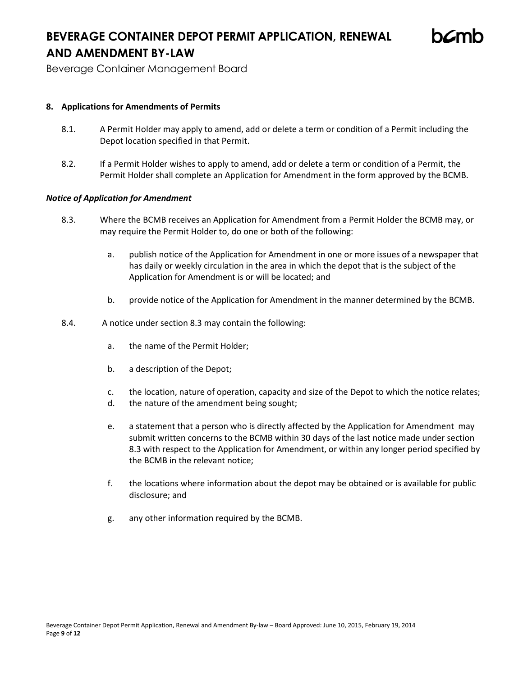Beverage Container Management Board

### **8. Applications for Amendments of Permits**

- 8.1. A Permit Holder may apply to amend, add or delete a term or condition of a Permit including the Depot location specified in that Permit.
- 8.2. If a Permit Holder wishes to apply to amend, add or delete a term or condition of a Permit, the Permit Holder shall complete an Application for Amendment in the form approved by the BCMB.

### *Notice of Application for Amendment*

- 8.3. Where the BCMB receives an Application for Amendment from a Permit Holder the BCMB may, or may require the Permit Holder to, do one or both of the following:
	- a. publish notice of the Application for Amendment in one or more issues of a newspaper that has daily or weekly circulation in the area in which the depot that is the subject of the Application for Amendment is or will be located; and
	- b. provide notice of the Application for Amendment in the manner determined by the BCMB.
- 8.4. A notice under section 8.3 may contain the following:
	- a. the name of the Permit Holder;
	- b. a description of the Depot;
	- c. the location, nature of operation, capacity and size of the Depot to which the notice relates;
	- d. the nature of the amendment being sought;
	- e. a statement that a person who is directly affected by the Application for Amendment may submit written concerns to the BCMB within 30 days of the last notice made under section 8.3 with respect to the Application for Amendment, or within any longer period specified by the BCMB in the relevant notice;
	- f. the locations where information about the depot may be obtained or is available for public disclosure; and
	- g. any other information required by the BCMB.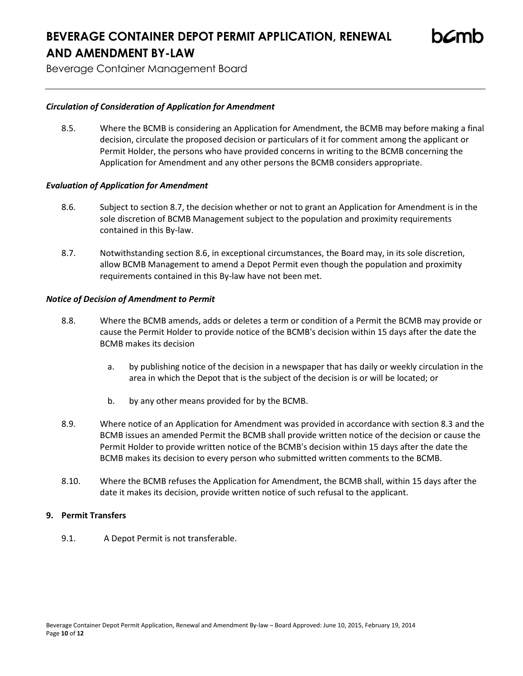Beverage Container Management Board

### *Circulation of Consideration of Application for Amendment*

8.5. Where the BCMB is considering an Application for Amendment, the BCMB may before making a final decision, circulate the proposed decision or particulars of it for comment among the applicant or Permit Holder, the persons who have provided concerns in writing to the BCMB concerning the Application for Amendment and any other persons the BCMB considers appropriate.

### *Evaluation of Application for Amendment*

- 8.6. Subject to section 8.7, the decision whether or not to grant an Application for Amendment is in the sole discretion of BCMB Management subject to the population and proximity requirements contained in this By-law.
- 8.7. Notwithstanding section 8.6, in exceptional circumstances, the Board may, in its sole discretion, allow BCMB Management to amend a Depot Permit even though the population and proximity requirements contained in this By-law have not been met.

### *Notice of Decision of Amendment to Permit*

- 8.8. Where the BCMB amends, adds or deletes a term or condition of a Permit the BCMB may provide or cause the Permit Holder to provide notice of the BCMB's decision within 15 days after the date the BCMB makes its decision
	- a. by publishing notice of the decision in a newspaper that has daily or weekly circulation in the area in which the Depot that is the subject of the decision is or will be located; or
	- b. by any other means provided for by the BCMB.
- 8.9. Where notice of an Application for Amendment was provided in accordance with section 8.3 and the BCMB issues an amended Permit the BCMB shall provide written notice of the decision or cause the Permit Holder to provide written notice of the BCMB's decision within 15 days after the date the BCMB makes its decision to every person who submitted written comments to the BCMB.
- 8.10. Where the BCMB refuses the Application for Amendment, the BCMB shall, within 15 days after the date it makes its decision, provide written notice of such refusal to the applicant.

### **9. Permit Transfers**

9.1. A Depot Permit is not transferable.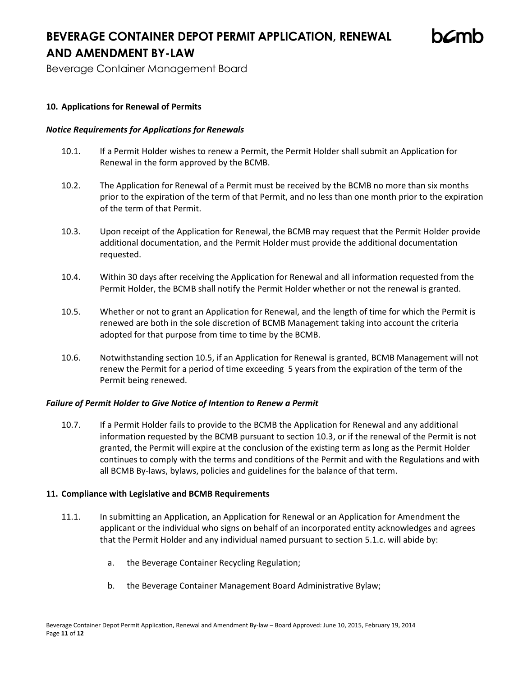Beverage Container Management Board

### **10. Applications for Renewal of Permits**

### *Notice Requirements for Applications for Renewals*

- 10.1. If a Permit Holder wishes to renew a Permit, the Permit Holder shall submit an Application for Renewal in the form approved by the BCMB.
- 10.2. The Application for Renewal of a Permit must be received by the BCMB no more than six months prior to the expiration of the term of that Permit, and no less than one month prior to the expiration of the term of that Permit.
- 10.3. Upon receipt of the Application for Renewal, the BCMB may request that the Permit Holder provide additional documentation, and the Permit Holder must provide the additional documentation requested.
- 10.4. Within 30 days after receiving the Application for Renewal and all information requested from the Permit Holder, the BCMB shall notify the Permit Holder whether or not the renewal is granted.
- 10.5. Whether or not to grant an Application for Renewal, and the length of time for which the Permit is renewed are both in the sole discretion of BCMB Management taking into account the criteria adopted for that purpose from time to time by the BCMB.
- 10.6. Notwithstanding section 10.5, if an Application for Renewal is granted, BCMB Management will not renew the Permit for a period of time exceeding 5 years from the expiration of the term of the Permit being renewed.

### *Failure of Permit Holder to Give Notice of Intention to Renew a Permit*

10.7. If a Permit Holder fails to provide to the BCMB the Application for Renewal and any additional information requested by the BCMB pursuant to section 10.3, or if the renewal of the Permit is not granted, the Permit will expire at the conclusion of the existing term as long as the Permit Holder continues to comply with the terms and conditions of the Permit and with the Regulations and with all BCMB By-laws, bylaws, policies and guidelines for the balance of that term.

### **11. Compliance with Legislative and BCMB Requirements**

- 11.1. In submitting an Application, an Application for Renewal or an Application for Amendment the applicant or the individual who signs on behalf of an incorporated entity acknowledges and agrees that the Permit Holder and any individual named pursuant to section 5.1.c. will abide by:
	- a. the Beverage Container Recycling Regulation;
	- b. the Beverage Container Management Board Administrative Bylaw;